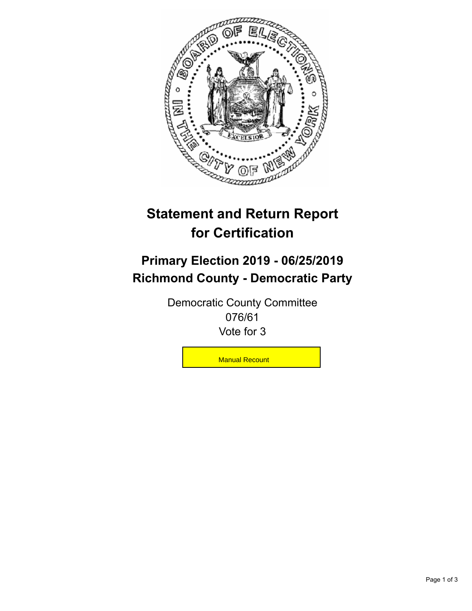

## **Statement and Return Report for Certification**

## **Primary Election 2019 - 06/25/2019 Richmond County - Democratic Party**

Democratic County Committee 076/61 Vote for 3

**Manual Recount**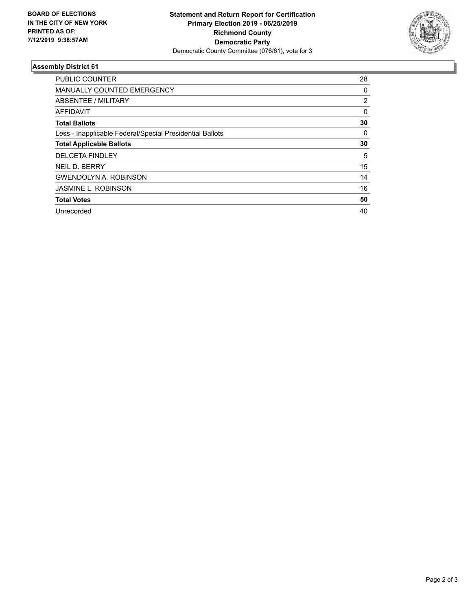

## **Assembly District 61**

| <b>PUBLIC COUNTER</b>                                    | 28             |
|----------------------------------------------------------|----------------|
| <b>MANUALLY COUNTED EMERGENCY</b>                        | 0              |
| ABSENTEE / MILITARY                                      | $\overline{2}$ |
| AFFIDAVIT                                                | 0              |
| <b>Total Ballots</b>                                     | 30             |
| Less - Inapplicable Federal/Special Presidential Ballots | 0              |
| <b>Total Applicable Ballots</b>                          | 30             |
| <b>DELCETA FINDLEY</b>                                   | 5              |
| NEIL D. BERRY                                            | 15             |
| <b>GWENDOLYN A. ROBINSON</b>                             | 14             |
| <b>JASMINE L. ROBINSON</b>                               | 16             |
| <b>Total Votes</b>                                       | 50             |
| Unrecorded                                               | 40             |